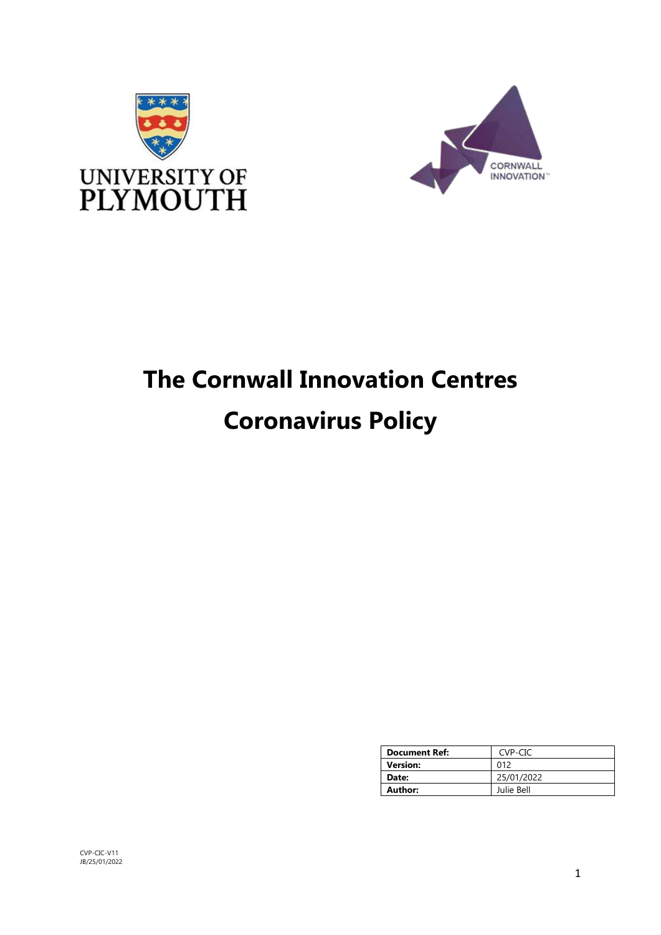



# **The Cornwall Innovation Centres Coronavirus Policy**

| <b>Document Ref:</b> | CVP-CIC    |
|----------------------|------------|
| Version:             | 012        |
| Date:                | 25/01/2022 |
| Author:              | Julie Bell |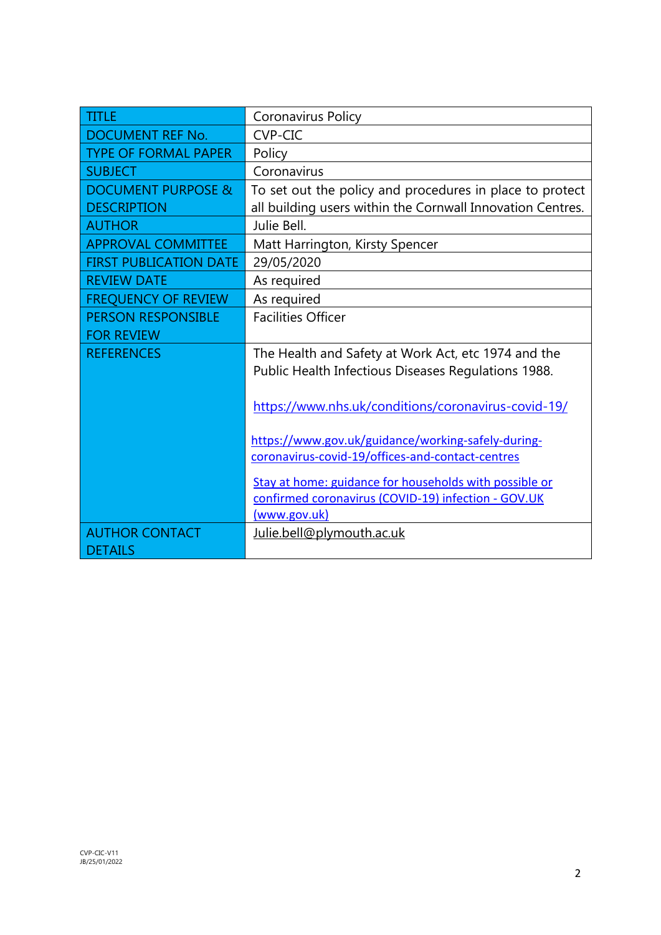| <b>TITLE</b>                  | Coronavirus Policy                                         |
|-------------------------------|------------------------------------------------------------|
| DOCUMENT REF No.              | <b>CVP-CIC</b>                                             |
| <b>TYPE OF FORMAL PAPER</b>   | Policy                                                     |
| <b>SUBJECT</b>                | Coronavirus                                                |
| <b>DOCUMENT PURPOSE &amp;</b> | To set out the policy and procedures in place to protect   |
| <b>DESCRIPTION</b>            | all building users within the Cornwall Innovation Centres. |
| <b>AUTHOR</b>                 | Julie Bell.                                                |
| <b>APPROVAL COMMITTEE</b>     | Matt Harrington, Kirsty Spencer                            |
| <b>FIRST PUBLICATION DATE</b> | 29/05/2020                                                 |
| <b>REVIEW DATE</b>            | As required                                                |
| <b>FREQUENCY OF REVIEW</b>    | As required                                                |
| <b>PERSON RESPONSIBLE</b>     | <b>Facilities Officer</b>                                  |
| <b>FOR REVIEW</b>             |                                                            |
| <b>REFERENCES</b>             | The Health and Safety at Work Act, etc 1974 and the        |
|                               | Public Health Infectious Diseases Regulations 1988.        |
|                               |                                                            |
|                               | https://www.nhs.uk/conditions/coronavirus-covid-19/        |
|                               |                                                            |
|                               | https://www.gov.uk/guidance/working-safely-during-         |
|                               | coronavirus-covid-19/offices-and-contact-centres           |
|                               | Stay at home: guidance for households with possible or     |
|                               | confirmed coronavirus (COVID-19) infection - GOV.UK        |
|                               | (www.gov.uk)                                               |
| <b>AUTHOR CONTACT</b>         | Julie.bell@plymouth.ac.uk                                  |
| <b>DETAILS</b>                |                                                            |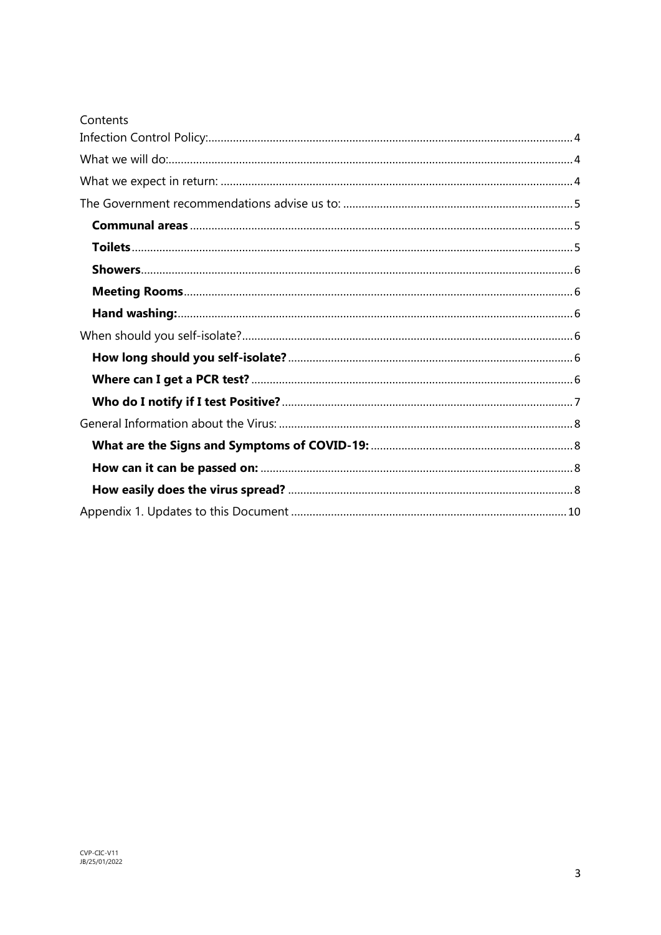| Contents |
|----------|
|          |
|          |
|          |
|          |
|          |
|          |
|          |
|          |
|          |
|          |
|          |
|          |
|          |
|          |
|          |
|          |
|          |
|          |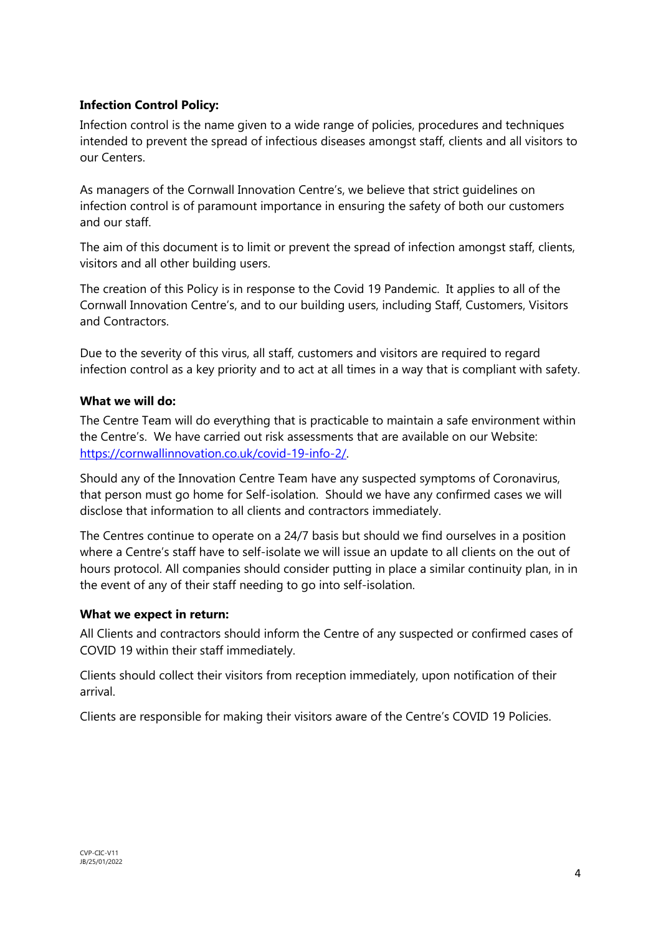## <span id="page-3-0"></span>**Infection Control Policy:**

Infection control is the name given to a wide range of policies, procedures and techniques intended to prevent the spread of infectious diseases amongst staff, clients and all visitors to our Centers.

As managers of the Cornwall Innovation Centre's, we believe that strict guidelines on infection control is of paramount importance in ensuring the safety of both our customers and our staff.

The aim of this document is to limit or prevent the spread of infection amongst staff, clients, visitors and all other building users.

The creation of this Policy is in response to the Covid 19 Pandemic. It applies to all of the Cornwall Innovation Centre's, and to our building users, including Staff, Customers, Visitors and Contractors.

Due to the severity of this virus, all staff, customers and visitors are required to regard infection control as a key priority and to act at all times in a way that is compliant with safety.

#### <span id="page-3-1"></span>**What we will do:**

The Centre Team will do everything that is practicable to maintain a safe environment within the Centre's. We have carried out risk assessments that are available on our Website: [https://cornwallinnovation.co.uk/covid-19-info-2/.](https://cornwallinnovation.co.uk/covid-19-info-2/)

Should any of the Innovation Centre Team have any suspected symptoms of Coronavirus, that person must go home for Self-isolation. Should we have any confirmed cases we will disclose that information to all clients and contractors immediately.

The Centres continue to operate on a 24/7 basis but should we find ourselves in a position where a Centre's staff have to self-isolate we will issue an update to all clients on the out of hours protocol. All companies should consider putting in place a similar continuity plan, in in the event of any of their staff needing to go into self-isolation.

#### <span id="page-3-2"></span>**What we expect in return:**

All Clients and contractors should inform the Centre of any suspected or confirmed cases of COVID 19 within their staff immediately.

Clients should collect their visitors from reception immediately, upon notification of their arrival.

Clients are responsible for making their visitors aware of the Centre's COVID 19 Policies.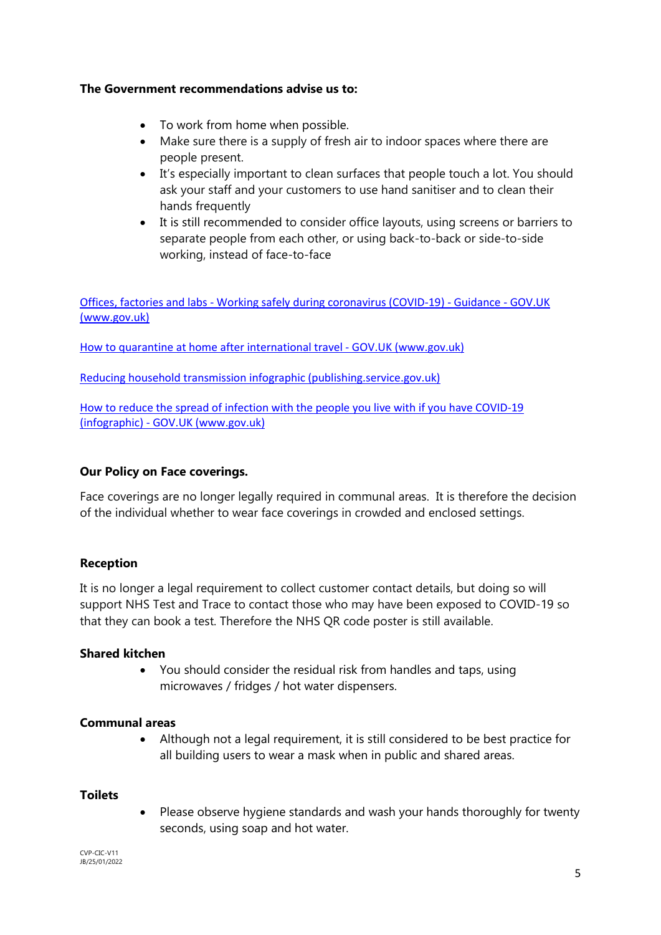## <span id="page-4-0"></span>**The Government recommendations advise us to:**

- To work from home when possible.
- Make sure there is a supply of fresh air to indoor spaces where there are people present.
- It's especially important to clean surfaces that people touch a lot. You should ask your staff and your customers to use hand sanitiser and to clean their hands frequently
- It is still recommended to consider office layouts, using screens or barriers to separate people from each other, or using back-to-back or side-to-side working, instead of face-to-face

[Offices, factories and labs - Working safely during coronavirus \(COVID-19\) - Guidance - GOV.UK](https://www.gov.uk/guidance/working-safely-during-covid-19/offices-factories-and-labs)  [\(www.gov.uk\)](https://www.gov.uk/guidance/working-safely-during-covid-19/offices-factories-and-labs)

[How to quarantine at home after international travel - GOV.UK \(www.gov.uk\)](https://www.gov.uk/guidance/how-to-quarantine-when-you-arrive-in-england?utm_medium=email&utm_campaign=govuk-notifications-topic&utm_source=559eea79-e7f9-475c-8245-698f06dd33fc&utm_content=daily)

[Reducing household transmission infographic \(publishing.service.gov.uk\)](https://assets.publishing.service.gov.uk/government/uploads/system/uploads/attachment_data/file/1046970/20211207_Reducing_household_transmision.pdf)

[How to reduce the spread of infection with the people you live with if you have COVID-19](https://www.gov.uk/government/publications/covid-19-stay-at-home-guidance/how-to-reduce-the-spread-of-infection-with-the-people-you-live-with-if-you-have-covid-19-infographic)  [\(infographic\) - GOV.UK \(www.gov.uk\)](https://www.gov.uk/government/publications/covid-19-stay-at-home-guidance/how-to-reduce-the-spread-of-infection-with-the-people-you-live-with-if-you-have-covid-19-infographic) 

## **Our Policy on Face coverings.**

Face coverings are no longer legally required in communal areas. It is therefore the decision of the individual whether to wear face coverings in crowded and enclosed settings.

## **Reception**

It is no longer a legal requirement to collect customer contact details, but doing so will support NHS Test and Trace to contact those who may have been exposed to COVID-19 so that they can book a test. Therefore the NHS QR code poster is still available.

#### **Shared kitchen**

 You should consider the residual risk from handles and taps, using microwaves / fridges / hot water dispensers.

#### <span id="page-4-1"></span>**Communal areas**

 Although not a legal requirement, it is still considered to be best practice for all building users to wear a mask when in public and shared areas.

#### <span id="page-4-2"></span>**Toilets**

 Please observe hygiene standards and wash your hands thoroughly for twenty seconds, using soap and hot water.

CVP-CIC-V11 JB/25/01/2022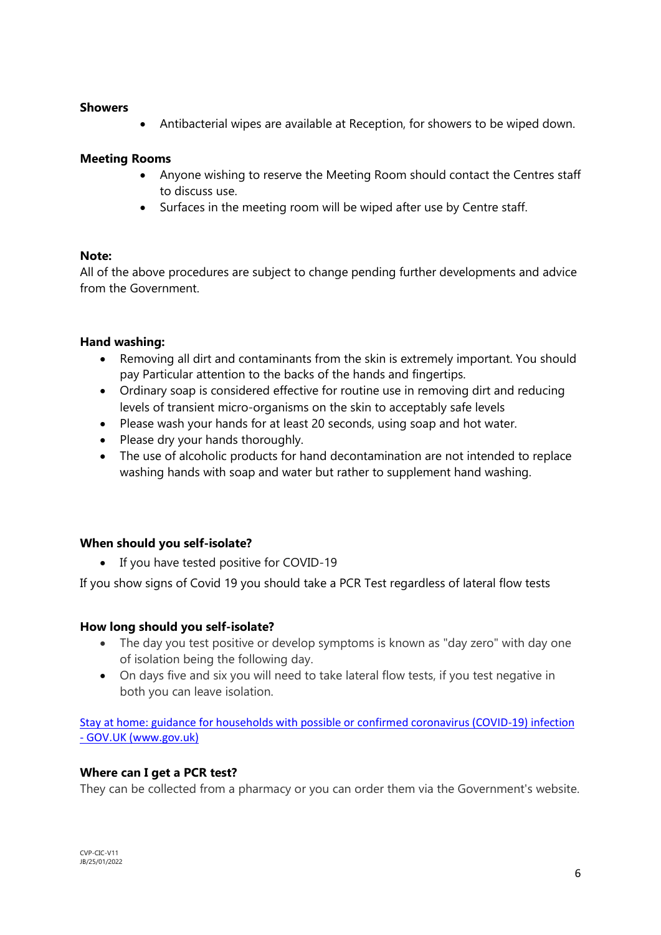#### <span id="page-5-0"></span>**Showers**

Antibacterial wipes are available at Reception, for showers to be wiped down.

## <span id="page-5-1"></span>**Meeting Rooms**

- Anyone wishing to reserve the Meeting Room should contact the Centres staff to discuss use.
- Surfaces in the meeting room will be wiped after use by Centre staff.

## **Note:**

All of the above procedures are subject to change pending further developments and advice from the Government.

## <span id="page-5-2"></span>**Hand washing:**

- Removing all dirt and contaminants from the skin is extremely important. You should pay Particular attention to the backs of the hands and fingertips.
- Ordinary soap is considered effective for routine use in removing dirt and reducing levels of transient micro-organisms on the skin to acceptably safe levels
- Please wash your hands for at least 20 seconds, using soap and hot water.
- Please dry your hands thoroughly.
- The use of alcoholic products for hand decontamination are not intended to replace washing hands with soap and water but rather to supplement hand washing.

## <span id="page-5-3"></span>**When should you self-isolate?**

• If you have tested positive for COVID-19

If you show signs of Covid 19 you should take a PCR Test regardless of lateral flow tests

## <span id="page-5-4"></span>**How long should you self-isolate?**

- The day you test positive or develop symptoms is known as "day zero" with day one of isolation being the following day.
- On days five and six you will need to take lateral flow tests, if you test negative in both you can leave isolation.

[Stay at home: guidance for households with possible or confirmed coronavirus \(COVID-19\) infection](https://www.gov.uk/government/publications/covid-19-stay-at-home-guidance/stay-at-home-guidance-for-households-with-possible-coronavirus-covid-19-infection)  [- GOV.UK \(www.gov.uk\)](https://www.gov.uk/government/publications/covid-19-stay-at-home-guidance/stay-at-home-guidance-for-households-with-possible-coronavirus-covid-19-infection)

## <span id="page-5-5"></span>**Where can I get a PCR test?**

They can be collected from a pharmacy or you can order them via the Government's website.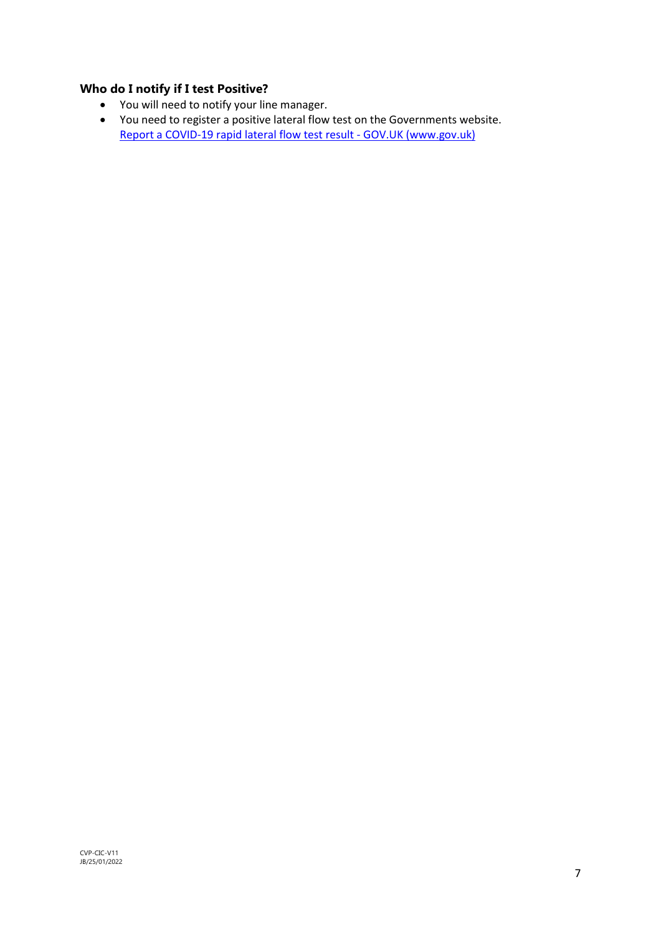## <span id="page-6-0"></span>**Who do I notify if I test Positive?**

- You will need to notify your line manager.
- You need to register a positive lateral flow test on the Governments website. [Report a COVID-19 rapid lateral flow test result - GOV.UK \(www.gov.uk\)](https://www.gov.uk/report-covid19-result)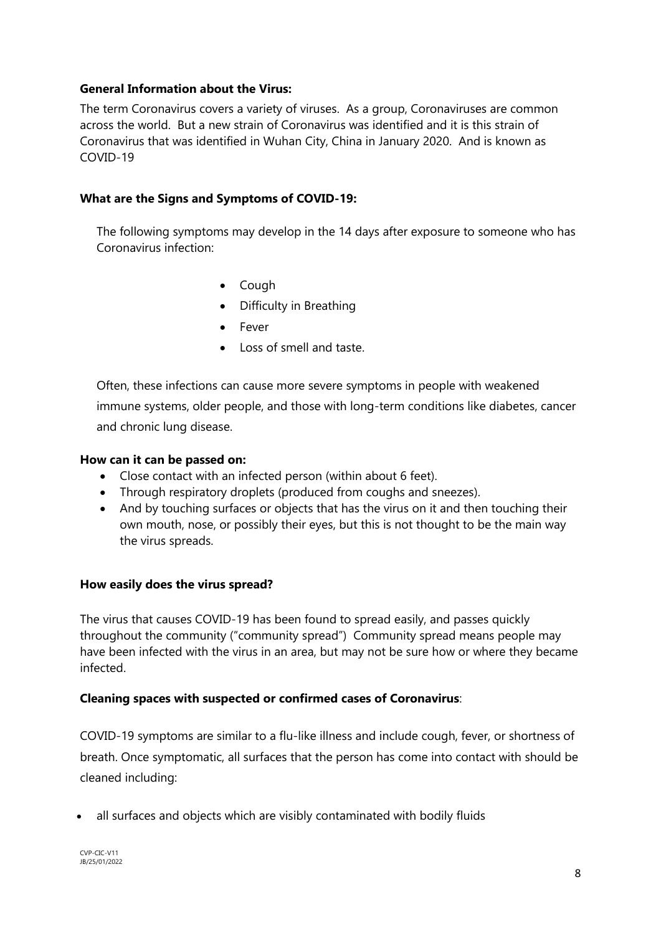## <span id="page-7-0"></span>**General Information about the Virus:**

The term Coronavirus covers a variety of viruses. As a group, Coronaviruses are common across the world. But a new strain of Coronavirus was identified and it is this strain of Coronavirus that was identified in Wuhan City, China in January 2020. And is known as COVID-19

## <span id="page-7-1"></span>**What are the Signs and Symptoms of COVID-19:**

The following symptoms may develop in the 14 days after exposure to someone who has Coronavirus infection:

- Cough
- Difficulty in Breathing
- Fever
- **.** Loss of smell and taste.

Often, these infections can cause more severe symptoms in people with weakened immune systems, older people, and those with long-term conditions like diabetes, cancer and chronic lung disease.

#### <span id="page-7-2"></span>**How can it can be passed on:**

- Close contact with an infected person (within about 6 feet).
- Through respiratory droplets (produced from coughs and sneezes).
- And by touching surfaces or objects that has the virus on it and then touching their own mouth, nose, or possibly their eyes, but this is not thought to be the main way the virus spreads.

#### <span id="page-7-3"></span>**How easily does the virus spread?**

The virus that causes COVID-19 has been found to spread easily, and passes quickly throughout the community ("community spread") Community spread means people may have been infected with the virus in an area, but may not be sure how or where they became infected.

#### **Cleaning spaces with suspected or confirmed cases of Coronavirus**:

COVID-19 symptoms are similar to a flu-like illness and include cough, fever, or shortness of breath. Once symptomatic, all surfaces that the person has come into contact with should be cleaned including:

all surfaces and objects which are visibly contaminated with bodily fluids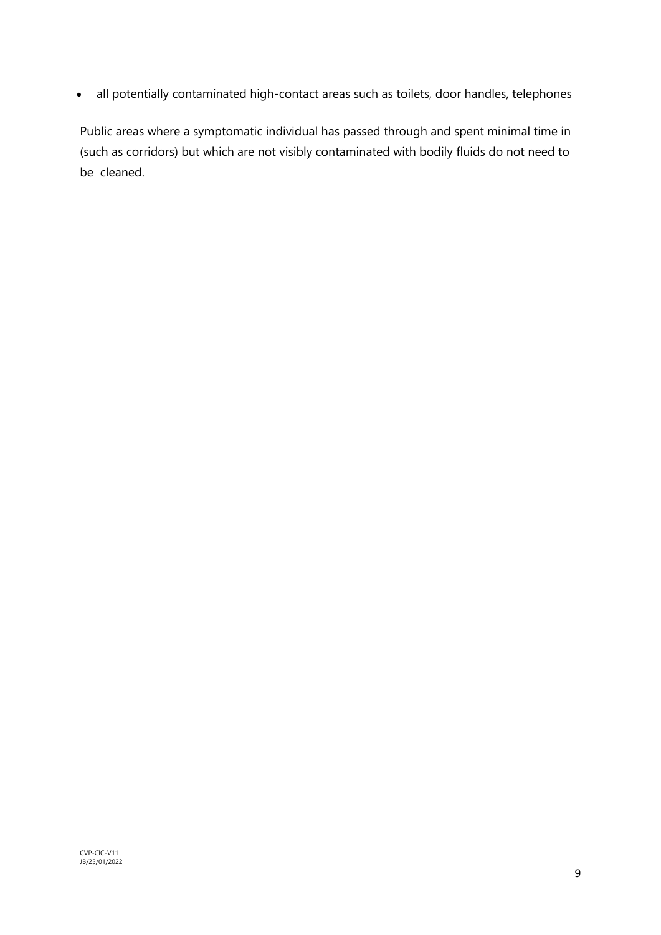all potentially contaminated high-contact areas such as toilets, door handles, telephones

Public areas where a symptomatic individual has passed through and spent minimal time in (such as corridors) but which are not visibly contaminated with bodily fluids do not need to be cleaned.